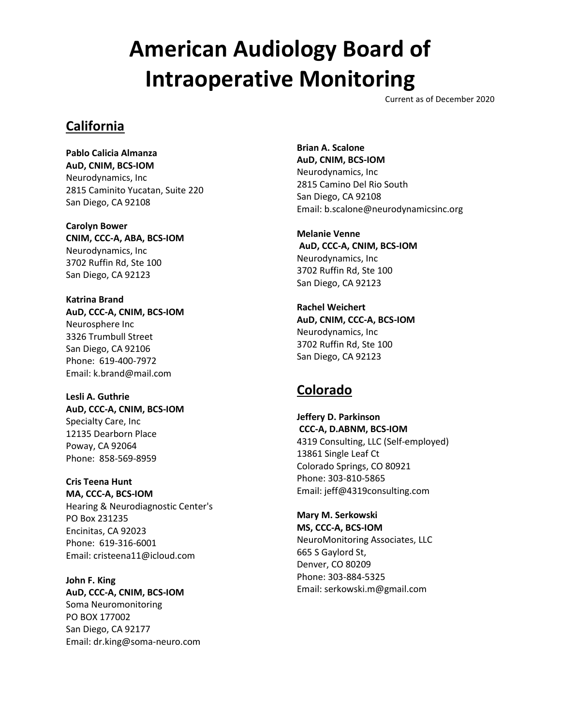Current as of December 2020

#### **California**

**Pablo Calicia Almanza AuD, CNIM, BCS-IOM** Neurodynamics, Inc 2815 Caminito Yucatan, Suite 220 San Diego, CA 92108

**Carolyn Bower CNIM, CCC-A, ABA, BCS-IOM** Neurodynamics, Inc 3702 Ruffin Rd, Ste 100 San Diego, CA 92123

**Katrina Brand AuD, CCC-A, CNIM, BCS-IOM** Neurosphere Inc 3326 Trumbull Street San Diego, CA 92106 Phone: 619-400-7972 Email: k.brand@mail.com

**Lesli A. Guthrie AuD, CCC-A, CNIM, BCS-IOM** Specialty Care, Inc 12135 Dearborn Place Poway, CA 92064 Phone: 858-569-8959

**Cris Teena Hunt MA, CCC-A, BCS-IOM** Hearing & Neurodiagnostic Center's PO Box 231235 Encinitas, CA 92023 Phone: 619-316-6001 Email: cristeena11@icloud.com

**John F. King AuD, CCC-A, CNIM, BCS-IOM** Soma Neuromonitoring PO BOX 177002 San Diego, CA 92177 Email: dr.king@soma-neuro.com **Brian A. Scalone AuD, CNIM, BCS-IOM** Neurodynamics, Inc 2815 Camino Del Rio South San Diego, CA 92108 Email: b.scalone@neurodynamicsinc.org

**Melanie Venne AuD, CCC-A, CNIM, BCS-IOM** Neurodynamics, Inc 3702 Ruffin Rd, Ste 100 San Diego, CA 92123

**Rachel Weichert AuD, CNIM, CCC-A, BCS-IOM** Neurodynamics, Inc 3702 Ruffin Rd, Ste 100 San Diego, CA 92123

### **Colorado**

**Jeffery D. Parkinson CCC-A, D.ABNM, BCS-IOM** 4319 Consulting, LLC (Self-employed) 13861 Single Leaf Ct Colorado Springs, CO 80921 Phone: 303-810-5865 Email: jeff@4319consulting.com

**Mary M. Serkowski MS, CCC-A, BCS-IOM** NeuroMonitoring Associates, LLC 665 S Gaylord St, Denver, CO 80209 Phone: 303-884-5325 Email: serkowski.m@gmail.com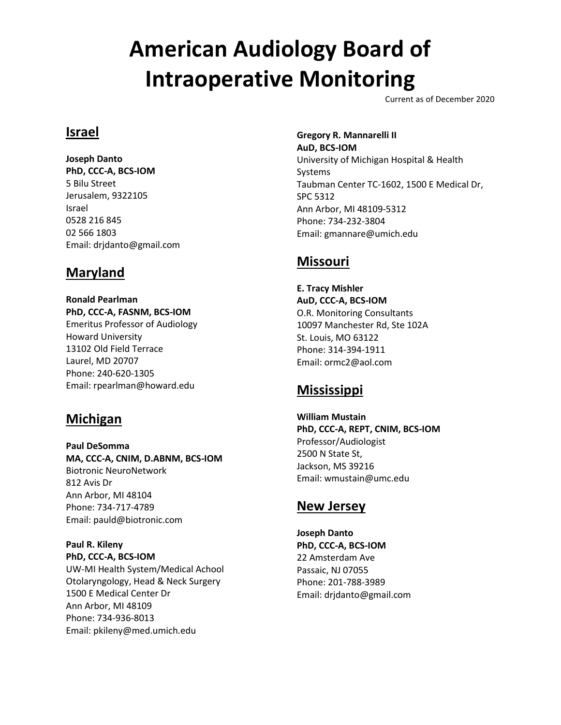Current as of December 2020

### **Israel**

**Joseph Danto PhD, CCC-A, BCS-IOM** 5 Bilu Street Jerusalem, 9322105 Israel 0528 216 845 02 566 1803 Email: drjdanto@gmail.com

### **Maryland**

**Ronald Pearlman PhD, CCC-A, FASNM, BCS-IOM** Emeritus Professor of Audiology Howard University 13102 Old Field Terrace Laurel, MD 20707 Phone: 240-620-1305 Email: rpearlman@howard.edu

### **Michigan**

**Paul DeSomma MA, CCC-A, CNIM, D.ABNM, BCS-IOM** Biotronic NeuroNetwork 812 Avis Dr Ann Arbor, MI 48104 Phone: 734-717-4789 Email: pauld@biotronic.com

**Paul R. Kileny PhD, CCC-A, BCS-IOM** UW-MI Health System/Medical Achool Otolaryngology, Head & Neck Surgery 1500 E Medical Center Dr Ann Arbor, MI 48109 Phone: 734-936-8013 Email: pkileny@med.umich.edu

**Gregory R. Mannarelli II AuD, BCS-IOM**

University of Michigan Hospital & Health Systems Taubman Center TC-1602, 1500 E Medical Dr, SPC 5312 Ann Arbor, MI 48109-5312 Phone: 734-232-3804 Email: gmannare@umich.edu

### **Missouri**

**E. Tracy Mishler AuD, CCC-A, BCS-IOM** O.R. Monitoring Consultants 10097 Manchester Rd, Ste 102A St. Louis, MO 63122 Phone: 314-394-1911 Email: ormc2@aol.com

### **Mississippi**

**William Mustain PhD, CCC-A, REPT, CNIM, BCS-IOM** Professor/Audiologist 2500 N State St, Jackson, MS 39216 Email: wmustain@umc.edu

### **New Jersey**

**Joseph Danto PhD, CCC-A, BCS-IOM** 22 Amsterdam Ave Passaic, NJ 07055 Phone: 201-788-3989 Email: drjdanto@gmail.com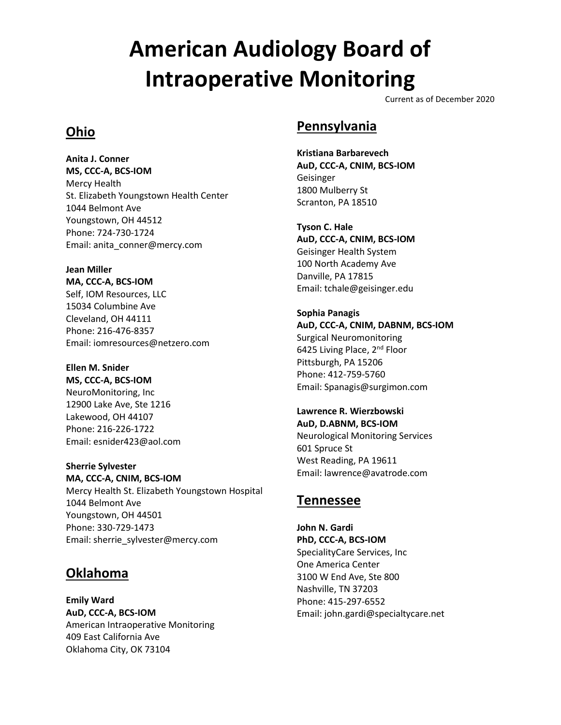Current as of December 2020

### **Ohio**

**Anita J. Conner MS, CCC-A, BCS-IOM** Mercy Health St. Elizabeth Youngstown Health Center 1044 Belmont Ave Youngstown, OH 44512 Phone: 724-730-1724 Email: anita\_conner@mercy.com

**Jean Miller MA, CCC-A, BCS-IOM** Self, IOM Resources, LLC 15034 Columbine Ave Cleveland, OH 44111 Phone: 216-476-8357 Email: iomresources@netzero.com

**Ellen M. Snider MS, CCC-A, BCS-IOM** NeuroMonitoring, Inc 12900 Lake Ave, Ste 1216 Lakewood, OH 44107 Phone: 216-226-1722 Email: esnider423@aol.com

**Sherrie Sylvester MA, CCC-A, CNIM, BCS-IOM** Mercy Health St. Elizabeth Youngstown Hospital 1044 Belmont Ave Youngstown, OH 44501 Phone: 330-729-1473 Email: sherrie\_sylvester@mercy.com

### **Oklahoma**

**Emily Ward AuD, CCC-A, BCS-IOM** American Intraoperative Monitoring 409 East California Ave Oklahoma City, OK 73104

### **Pennsylvania**

**Kristiana Barbarevech AuD, CCC-A, CNIM, BCS-IOM** Geisinger 1800 Mulberry St Scranton, PA 18510

**Tyson C. Hale AuD, CCC-A, CNIM, BCS-IOM** Geisinger Health System 100 North Academy Ave Danville, PA 17815 Email: tchale@geisinger.edu

**Sophia Panagis AuD, CCC-A, CNIM, DABNM, BCS-IOM** Surgical Neuromonitoring 6425 Living Place, 2<sup>nd</sup> Floor Pittsburgh, PA 15206 Phone: 412-759-5760 Email: Spanagis@surgimon.com

**Lawrence R. Wierzbowski AuD, D.ABNM, BCS-IOM** Neurological Monitoring Services 601 Spruce St West Reading, PA 19611 Email: lawrence@avatrode.com

### **Tennessee**

**John N. Gardi PhD, CCC-A, BCS-IOM** SpecialityCare Services, Inc One America Center 3100 W End Ave, Ste 800 Nashville, TN 37203 Phone: 415-297-6552 Email: john.gardi@specialtycare.net